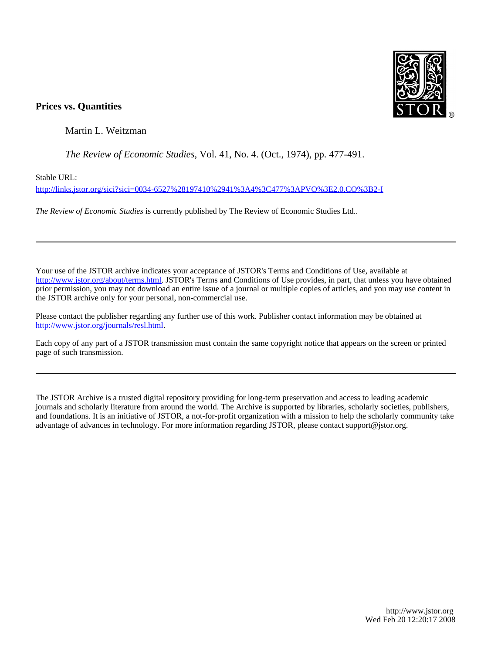

#### **Prices vs. Quantities**

Martin L. Weitzman

*The Review of Economic Studies*, Vol. 41, No. 4. (Oct., 1974), pp. 477-491.

Stable URL:

<http://links.jstor.org/sici?sici=0034-6527%28197410%2941%3A4%3C477%3APVQ%3E2.0.CO%3B2-I>

*The Review of Economic Studies* is currently published by The Review of Economic Studies Ltd..

Your use of the JSTOR archive indicates your acceptance of JSTOR's Terms and Conditions of Use, available at [http://www.jstor.org/about/terms.html.](http://www.jstor.org/about/terms.html) JSTOR's Terms and Conditions of Use provides, in part, that unless you have obtained prior permission, you may not download an entire issue of a journal or multiple copies of articles, and you may use content in the JSTOR archive only for your personal, non-commercial use.

Please contact the publisher regarding any further use of this work. Publisher contact information may be obtained at [http://www.jstor.org/journals/resl.html.](http://www.jstor.org/journals/resl.html)

Each copy of any part of a JSTOR transmission must contain the same copyright notice that appears on the screen or printed page of such transmission.

The JSTOR Archive is a trusted digital repository providing for long-term preservation and access to leading academic journals and scholarly literature from around the world. The Archive is supported by libraries, scholarly societies, publishers, and foundations. It is an initiative of JSTOR, a not-for-profit organization with a mission to help the scholarly community take advantage of advances in technology. For more information regarding JSTOR, please contact support@jstor.org.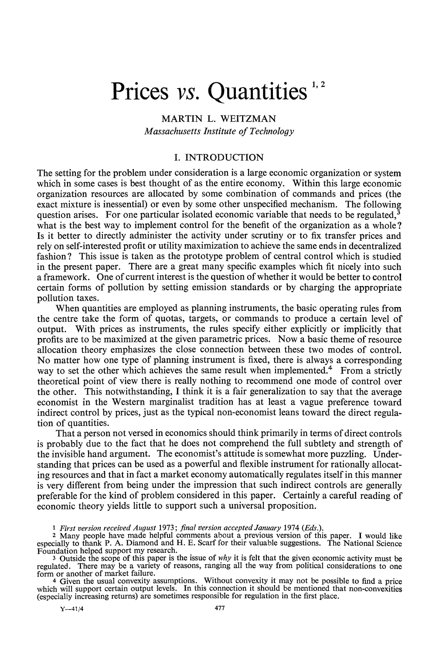# Prices *vs*. Quantities <sup>1,2</sup>

MARTIN L. WEITZMAN *Massachusetts Institute of Technology* 

#### I. INTRODUCTION

The setting for the problem under consideration is a large economic organization or system which in some cases is best thought of as the entire economy. Within this large economic organization resources are allocated by some combination of commands and prices (the exact mixture is inessential) or even by some other unspecified mechanism. The following question arises. For one particular isolated economic variable that needs to be regulated, $\bar{3}$ what is the best way to implement control for the benefit of the organization as a whole? Is it better to directly administer the activity under scrutiny or to fix transfer prices and rely on self-interested profit or utility maximization to achieve the same ends in decentralized fashion? This issue is taken as the prototype problem of central control which is studied in the present paper. There are a great many specific examples which fit nicely into such a framework. One of current interest is the question of whether it would be better to control certain forms of pollution by setting emission standards or by charging the appropriate pollution taxes.

When quantities are employed as planning instruments, the basic operating rules from the centre take the form of quotas, targets, or commands to produce a certain level of output. With prices as instruments, the rules specify either explicitly or implicitly that profits are to be maximized at the given parametric prices. Now a basic theme of resource allocation theory emphasizes the close connection between these two modes of control. No matter how one type of planning instrument is fixed, there is always a corresponding way to set the other which achieves the same result when implemented.<sup>4</sup> From a strictly theoretical point of view there is really nothing to recommend one mode of control over the other. This notwithstanding, I think it is a fair generalization to say that the average economist in the Western marginalist tradition has at least a vague preference toward indirect control by prices, just as the typical non-economist leans toward the direct regulation of quantities.

That a person not versed in economics should think primarily in terms of direct controls is probably due to the fact that he does not comprehend the full subtlety and strength of the invisible hand argument. The economist's attitude is somewhat more puzzling. Understanding that prices can be used as a powerful and flexible instrument for rationally allocating resources and that in fact a market economy automatically regulates itself in this manner is very different from being under the impression that such indirect controls are generally preferable for the kind of problem considered in this paper. Certainly a careful reading of economic theory yields little to support such a universal proposition.

form or another of market failure.<br>4 Given the usual convexity assumptions. Without convexity it may not be possible to find a price<br>which will support certain output levels. In this connection it should be mentioned that (especialiy increasing returns) are sometimes responsible for regulation in the first place.

**<sup>1</sup>** *First version received August* 1973;*final version accepted January* 1974 *(Eds.).* 

**<sup>2</sup>**Many people have made helpful comments about a previous version of this paper. I would like especially to thank P. A. Diamond and H. E. Scarf for their valuable suggestions. The National Science Foundation helped support my research. **<sup>3</sup>**Outside the scope of this paper is the issue of *why* it is felt that the given economic activity must be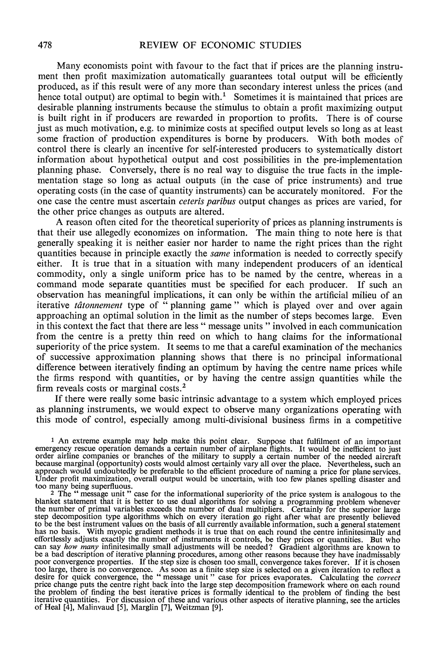Many economists point with favour to the fact that if prices are the planning instrument then profit maximization automatically guarantees total output will be efficiently produced, as if this result were of any more than secondary interest unless the prices (and hence total output) are optimal to begin with.<sup>1</sup> Sometimes it is maintained that prices are desirable planning instruments because the stimulus to obtain a profit maximizing output is built right in if producers are rewarded in proportion to profits. There is of course just as much motivation, e.g. to minimize costs at specified output levels so long as at least some fraction of production expenditures is borne by producers. With both modes of control there is clearly an incentive for self-interested producers to systematically distort information about hypothetical output and cost possibilities in the pre-implementation planning phase. Conversely, there is no real way to disguise the true facts in the implementation stage so long as actual outputs (in the case of price instruments) and true operating costs (in the case of quantity instruments) can be accurately monitored. For the one case the centre must ascertain *ceteris paribtis* output changes as prices are varied, for the other price changes as outputs are altered.

A reason often cited for the theoretical superiority of prices as planning instruments is that their use allegedly economizes on information. The main thing to note here is that generally speaking it is neither easier nor harder to name the right prices than the right quantities because in principle exactly the *same* information is needed to correctly specify either. It is true that in a situation with many independent producers of an identical commodity, only a single uniform price has to be named by the centre, whereas in a command mode separate quantities must be specified for each producer. If such an observation has meaningful implications, it can only be within the artificial milieu of an iterative *tâtonnement* type of " planning game " which is played over and over again approaching an optimal solution in the limit as the number of steps becomes large. Even in this context the fact that there are less "message units " involved in each communication from the centre is a pretty thin reed on which to hang claims for the informational superiority of the price system. It seems to me that a careful examination of the mechanics of successive approximation planning shows that there is no principal informational difference between iteratively finding an optimum by having the centre name prices while the firms respond with quantities, or by having the centre assign quantities while the firm reveals costs or marginal costs.2

If there were really some basic intrinsic advantage to a system which employed prices as planning instruments, we would expect to observe many organizations operating with this mode of control, especially among multi-divisional business firms in a competitive

<sup>1</sup> An extreme example may help make this point clear. Suppose that fulfilment of an important emergency rescue operation demands a certain number of airplane flights. It would be inefficient to just prder airline companie because marginal (opportunity) costs would almost certainly vary all over the place. Nevertheless, such an approach would undoubtedly be preferable to the efficient procedure of naming a price for plane services.<br>Under pro

too many being superfluous.<br><sup>2</sup> The "message unit" case for the informational superiority of the price system is analogous to the planket statement that it is better to use dual algorithms for solving a programming problem the number of primal variables exceeds the number of dual multipliers. Certainly for the superior large step decomposition type algorithms which on every iteration go right after what are presently believed to be the best instrument values on the basis of all currently available information, such a general statement has no basis. With myopic gradient methods it is true that on each round the centre infinitesimally and effortlessly adjusts exactly the number of instruments it controls, be they prices or quantities. But who can say *how many* infinitesimally small adjustments will be needed? Gradient algorithms are known to be a bad descr boor convergence properties. If the step size is chosen too small, convergence takes forever. If it is chosen<br>coo large, there is no convergence. As soon as a finite step size is selected on a given iteration to reflect a<br> price change puts the centre right back into the large step decomposition framework where on each round the problem of finding the best iterative prices is formally identical to the problem of finding the best iterative quantities. For discussion of these and various other aspects of iterative planning, see the articles of Heal [4], Malinvaud [5], Marglin [7], Weitzman [9].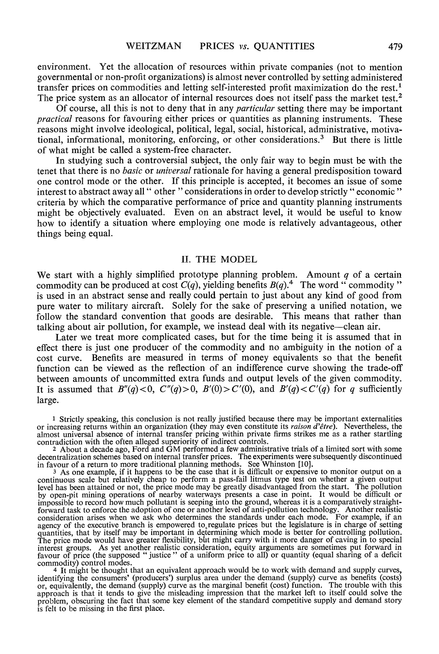environment. Yet the allocation of resources within private companies (not to mention governmental or non-profit organizations) is almost never controlled by setting administered transfer prices on commodities and letting self-interested profit maximization do the rest.<sup>1</sup> The price system as an allocator of internal resources does not itself pass the market test.<sup>2</sup>

Of course, all this is not to deny that in any *particular* setting there may be important *practical* reasons for favouring either prices or quantities as planning instruments. These reasons might involve ideological, political, legal, social, historical, administrative, motivational, informational, monitoring, enforcing, or other considerations.<sup>3</sup> But there is little of what might be called a system-free character.

In studying such a controversial subject, the only fair way to begin must be with the tenet that there is no *basic* or *universal* rationale for having a general predisposition toward one control mode or the other. If this principle is accepted, it becomes an issue of some interest to abstract away all " other " considerations in order to develop strictly " economic " criteria by which the comparative performance of price and quantity planning instruments might be objectively evaluated. Even on an abstract level, it would be useful to know how to identify a situation where employing one mode is relatively advantageous, other things being equal.

#### **11.** THE MODEL

We start with a highly simplified prototype planning problem. Amount q of a certain commodity can be produced at cost  $C(q)$ , yielding benefits  $B(q)$ .<sup>4</sup> The word " commodity " is used in an abstract sense and really could pertain to just about any kind of good from pure water to military aircraft. Solely for the sake of preserving a unified notation, we follow the standard convention that goods are desirable. This means that rather than talking about air pollution, for example, we instead deal with its negative-clean air.

Later we treat more complicated cases, but for the time being it is assumed that in effect there is just one producer of the commodity and no ambiguity in the notion of a cost curve. Benefits are measured in terms of money equivalents so that the benefit function can be viewed as the reflection of an indifference curve showing the trade-off between amounts of uncommitted extra funds and output levels of the given commodity. It is assumed that  $B''(q) < 0$ ,  $C''(q) > 0$ ,  $B'(0) > C'(0)$ , and  $B'(q) < C'(q)$  for q sufficiently large.

*<sup>2</sup>*About a decade ago, Ford and GM performed a few administrative trials of a limited sort with some decentralization schemes based on internal transfer prices. The experiments were subsequently discontinued

<sup>&</sup>lt;sup>1</sup> Strictly speaking, this conclusion is not really justified because there may be important externalities or increasing returns within an organization (they may even constitute its *raison d'être*). Nevertheless, the almost universal absence of internal transfer pricing within private firms strikes me as a rather startling contradiction with the often alleged superiority of indirect controis.

<sup>&</sup>lt;sup>3</sup> As one example, if it happens to be the case that it is difficult or expensive to monitor output on a continuous scale but relatively cheap to perform a pass-fail litmus type test on whether a given output level has be by operatively straight-<br>forward task to enforce the adoption of one or another level of anti-pollution technology. Another realistic<br>forward task to enforce the adoption of one or another level of anti-pollution technolog agency of the executive branch is empowered to regulate prices but the legislature is in charge of setting quantities, that by itself may be important in determining which mode is better for controlling pollution.<br>The price mode would have greater flexibility, but might carry with it more danger of caving in to special interest groups. As yet another realistic consideration, equity arguments are sometimes put forward in favour of price (the supposed "justice" of a uniform price to all) or quantity (equal sharing of a deficit commodity) control modes.

**<sup>4</sup>** It might be thought that an equivalent approach would be to work with demand and supply curves, identifying the consumers' (producers') surplus area under the demand (supply) curve as benefits (costs) or, equivalently, the demand (supply) curve as the marginal benefit (cost) function. The trouble with this approach is that it tends to give the misleading impression that the market left to itself could solve the problem, obscuring the fact that some key element of the standard competitive supply and demand story is felt to be missing in the first place.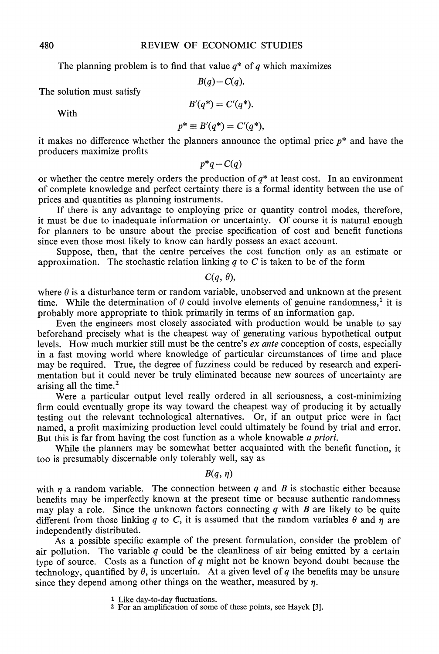The planning problem is to find that value  $q^*$  of q which maximizes

$$
B(q)-C(q).
$$

 $B'(q^*) = C'(q^*).$ 

The solution must satisfy

With

$$
p^* \equiv B'(q^*) = C'(q^*),
$$

it makes no difference whether the planners announce the optimal price *p\** and have the producers maximize profits

 $p^*q - C(q)$ 

or whether the centre merely orders the production of  $q^*$  at least cost. In an environment of complete knowledge and perfect certainty there is a formal identity between the use of prices and quantities as planning instruments.

If there is any advantage to employing price or quantity control modes, therefore, it must be due to inadequate information or uncertainty. Of course it is natural enough for planners to be unsure about the precise specification of cost and benefit functions since even those most likely to know can hardly possess an exact account.

Suppose, then, that the centre perceives the cost function only as an estimate or approximation. The stochastic relation linking  $q$  to  $C$  is taken to be of the form

 $C(a, \theta)$ ,

where  $\theta$  is a disturbance term or random variable, unobserved and unknown at the present time. While the determination of  $\theta$  could involve elements of genuine randomness,<sup>1</sup> it is probably more appropriate to think primarily in terms of an information gap.

Even the engineers most closely associated with production would be unable to say beforehand precisely what is the cheapest way of generating various hypothetical output levels. How much murkier still must be the centre's *ex ante* conception of costs, especially in a fast moving world where knowledge of particular circumstances of time and place may be required. True, the degree of fuzziness could be reduced by research and experimentation but it could never be truly eliminated because new sources of uncertainty are arising all the time.<sup>2</sup>

Were a particular output level really ordered in all seriousness, a cost-minimizing firm could eventually grope its way toward the cheapest way of producing it by actually testing out the relevant technological alternatives. Or, if an output price were in fact named, a profit maximizing production level could ultimately be found by trial and error. But this is far from having the cost function as a whole knowable *a priori*.

While the planners may be somewhat better acquainted with the benefit function, it too is presumably discernable only tolerably well, say as

#### $B(q, \eta)$

with  $\eta$  a random variable. The connection between  $q$  and  $B$  is stochastic either because benefits may be imperfectly known at the present time or because authentic randomness may play a role. Since the unknown factors connecting q with *B* are likely to be quite different from those linking q to C, it is assumed that the random variables  $\theta$  and  $\eta$  are independently distributed.

As a possible specific example of the present formulation, consider the problem of air pollution. The variable  $q$  could be the cleanliness of air being emitted by a certain type of source. Costs as a function of  $q$  might not be known beyond doubt because the technology, quantified by  $\theta$ , is uncertain. At a given level of q the benefits may be unsure since they depend among other things on the weather, measured by  $\eta$ .

**<sup>1</sup>** Like day-to-day fluctuations.

**2** For an amplification of some of these points, see Hayek **[3].**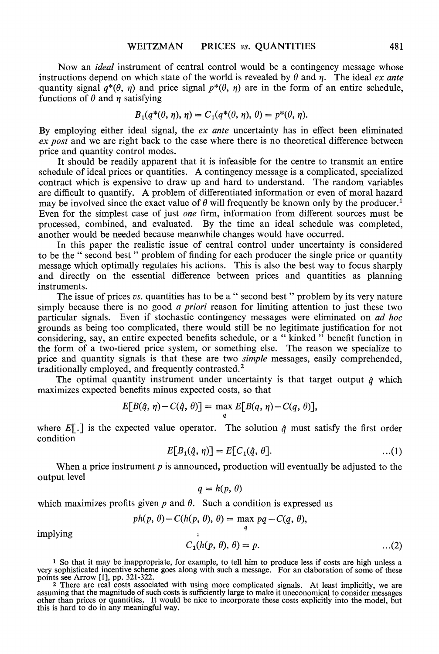Now an **ideal** instrument of central control would be a contingency message whose instructions depend on which state of the world is revealed by  $\theta$  and  $\eta$ . The ideal *ex ante* quantity signal  $q^*(\theta, \eta)$  and price signal  $p^*(\theta, \eta)$  are in the form of an entire schedule, functions of  $\theta$  and  $\eta$  satisfying

$$
B_1(q^*(\theta, \eta), \eta) = C_1(q^*(\theta, \eta), \theta) = p^*(\theta, \eta).
$$

By employing either ideal signal, the *ex ante* uncertainty has in effect been eliminated *ex post* and we are right back to the case where there is no theoretical difference between price and quantity control modes.

It should be readily apparent that it is infeasible for the centre to transmit an entire schedule of ideal prices or quantities. A contingency message is a complicated, specialized contract which is expensive to draw up and hard to understand. The random variables are difficult to quantify. A problem of differentiated information or even of moral hazard may be involved since the exact value of  $\theta$  will frequently be known only by the producer.<sup>1</sup> Even for the simplest case of just *one* firm, information from different sources must be processed, combined, and evaluated. By the time an ideal schedule was completed, another would be needed because meanwhile changes would have occurred.

In this paper the realistic issue of central control under uncertainty is considered to be the " second best " problem of finding for each producer the single price or quantity message which optimally regulates his actions. This is also the best way to focus sharply and directly on the essential difference between prices and quantities as planning instruments.

The issue of prices *vs*. quantities has to be a " second best " problem by its very nature simply because there is no good *a priori* reason for limiting attention to just these two particular signals. Even if stochastic contingency messages were eliminated on **ad** *hoc*  grounds as being too complicated, there would still be no legitimate justification for not considering, say, an entire expected benefits schedule, or a "kinked " benefit function in the form of a two-tiered price system, or something else. The reason we specialize to price and quantity signals is that these are two *simple* messages, easily comprehended, traditionally employed, and frequently contrasted.<sup>2</sup>

The optimal quantity instrument under uncertainty is that target output  $\hat{q}$  which maximizes expected benefits minus expected costs, so that

$$
E[B(\hat{q}, \eta) - C(\hat{q}, \theta)] = \max_{q} E[B(q, \eta) - C(q, \theta)],
$$

where  $E[\cdot]$  is the expected value operator. The solution  $\hat{q}$  must satisfy the first order condition

$$
E[B_1(\hat{q}, \eta)] = E[C_1(\hat{q}, \theta)]. \qquad ...(1)
$$

When a price instrument *p* is announced, production will eventually be adjusted to the output level

$$
q=h(p,\,\theta)
$$

which maximizes profits given  $p$  and  $\theta$ . Such a condition is expressed as

$$
ph(p, \theta) - C(h(p, \theta), \theta) = \max_{q} pq - C(q, \theta),
$$
  

$$
C_1(h(p, \theta), \theta) = p.
$$
...(2)

implying

<sup>1</sup>So that it may be inappropriate, for example, to tell him to produce less if costs are high unless a very sophisticated incentive scheme goes along with such a message. For an elaboration of some of these points see Arrow [1], pp. 321-322.<br><sup>2</sup> There are real costs associated with using more complicated signals. At least implicitly, we are

assuming that the magnitude of such costs is sufficiently large to make it uneconomical to consider messages other than prices or quantities. It would be nice to incorporate these costs explicitly into the model, but this is hard to do in any meaningful way.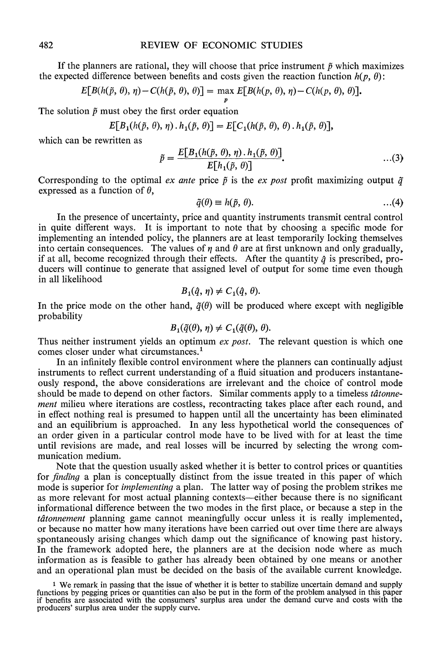If the planners are rational, they will choose that price instrument  $\tilde{p}$  which maximizes the expected difference between benefits and costs given the reaction function  $h(p, \theta)$ :

$$
E[B(h(\tilde{p},\theta),\eta)-C(h(\tilde{p},\theta),\theta)]=\max_{p}E[B(h(p,\theta),\eta)-C(h(p,\theta),\theta)].
$$

The solution  $\tilde{p}$  must obey the first order equation

$$
E[B_1(h(\tilde{p},\theta),\eta),h_1(\tilde{p},\theta)]=E[C_1(h(\tilde{p},\theta),\theta),h_1(\tilde{p},\theta)],
$$

which can be rewritten as

$$
\tilde{p} = \frac{E[B_1(h(\tilde{p}, \theta), \eta) \cdot h_1(\tilde{p}, \theta)]}{E[h_1(\tilde{p}, \theta)]}.
$$
...(3)

Corresponding to the optimal *ex ante* price  $\tilde{p}$  is the *ex post* profit maximizing output  $\tilde{q}$ expressed as a function of  $\theta$ ,

$$
\tilde{q}(\theta) \equiv h(\tilde{p}, \theta). \tag{4}
$$

In the presence of uncertainty, price and quantity instruments transmit central control in quite different ways. It is important to note that by choosing a specific mode for implementing an intended policy, the planners are at least temporarily locking themselves into certain consequences. The values of  $\eta$  and  $\theta$  are at first unknown and only gradually, if at all, become recognized through their effects. After the quantity  $\hat{q}$  is prescribed, producers will continue to generate that assigned level of output for some time even though in all likelihood

$$
B_1(\hat{q},\eta) \neq C_1(\hat{q},\theta).
$$

In the price mode on the other hand,  $\tilde{q}(\theta)$  will be produced where except with negligible probability

$$
B_1(\tilde{q}(\theta),\eta) \neq C_1(\tilde{q}(\theta),\theta).
$$

Thus neither instrument yields an optimum  $ex$  post. The relevant question is which one comes closer under what circumstances.<sup>1</sup>

In an infinitely flexible control environment where the planners can continually adjust instruments to reflect current understanding of a fluid situation and producers instantaneously respond, the above considerations are irrelevant and the choice of control mode should be made to depend on other factors. Similar comments apply to a timeless *tâtonne*ment milieu where iterations are costless, recontracting takes place after each round, and in effect nothing real is presumed to happen until all the uncertainty has been eliminated and an equilibrium is approached. In any less hypothetical world the consequences of an order given in a particular control mode have to be lived with for at least the time until revisions are made, and real losses will be incurred by selecting the wrong communication medium.

Note that the question usually asked whether it is better to control prices or quantities for *finding* a plan is conceptually distinct from the issue treated in this paper of which mode is superior for *implementing* a plan. The latter way of posing the problem strikes me as more relevant for most actual planning contexts-either because there is no significant informational difference between the two modes in the first place, or because a step in the  $t\hat{a}$  *tonnement* planning game cannot meaningfully occur unless it is really implemented, or because no matter how many iterations have been carried out over time there are always spontaneously arising changes which damp out the significance of knowing past history. In the framework adopted here, the planners are at the decision node where as much information as is feasible to gather has already been obtained by one means or another and an operational plan must be decided on the basis of the available current knowledge.

**<sup>1</sup>**We remark in passing that the issue of whether it is better to stabilize uncertain demand and supply functions by pegging prices or quantities can also be put in the form of the problem analysed in this paper if benefits are associated with the consumers' surplus area under the demand curve and costs with the producers' surplus area under the supply curve.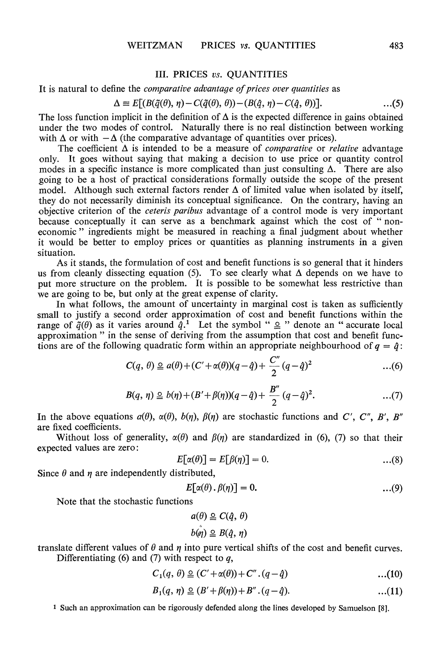#### III. PRICES vs. QUANTITIES

It is natural to define the *comparative advantage of prices over quantities* as

$$
\Delta \equiv E[(B(\tilde{q}(\theta), \eta) - C(\tilde{q}(\theta), \theta)) - (B(\hat{q}, \eta) - C(\hat{q}, \theta))]. \tag{5}
$$

The loss function implicit in the definition of  $\Delta$  is the expected difference in gains obtained under the two modes of control. Naturally there is no real distinction between working with  $\Delta$  or with  $-\Delta$  (the comparative advantage of quantities over prices).

The coefficient  $\Delta$  is intended to be a measure of *comparative* or *relative* advantage only. It goes without saying that making a decision to use price or quantity control modes in a specific instance is more complicated than just consulting  $\Delta$ . There are also going to be a host of practical considerations formally outside the scope of the present model. Although such external factors render  $\Delta$  of limited value when isolated by itself, they do not necessarily diminish its conceptual significance. On the contrary, having an objective criterion of the ceteris paribus advantage of a control mode is very important because conceptually it can serve as a benchmark against which the cost of " noneconomic " ingredients might be measured in reaching a final judgment about whether it would be better to employ prices or quantities as planning instruments in a given situation.

As it stands, the formulation of cost and benefit functions is so general that it hinders us from cleanly dissecting equation (5). To see clearly what  $\Delta$  depends on we have to put more structure on the problem. It is possible to be somewhat less restrictive than we are going to be, but only at the great expense of clarity.

In what follows, the amount of uncertainty in marginal cost is taken as sufficiently small to justify a second order approximation of cost and benefit functions within the range of  $\tilde{q}(\theta)$  as it varies around  $\hat{q}^1$ . Let the symbol "  $\cong$  " denote an " accurate local approximation " in the sense of deriving from the assumption that cost and benefit functions are of the following quadratic form within an appropriate neighbourhood of  $q = \hat{q}$ :

$$
C(q, \theta) \triangleq a(\theta) + (C' + \alpha(\theta))(q - \hat{q}) + \frac{C''}{2}(q - \hat{q})^2 \qquad \qquad \dots (6)
$$

$$
B(q, \eta) \stackrel{\circ}{=} b(\eta) + (B' + \beta(\eta))(q - \hat{q}) + \frac{B''}{2}(q - \hat{q})^2. \tag{7}
$$

In the above equations  $a(\theta)$ ,  $\alpha(\theta)$ ,  $b(\eta)$ ,  $\beta(\eta)$  are stochastic functions and *C'*, *C''*, *B'*, *B''* are fixed coefficients.

Without loss of generality,  $\alpha(\theta)$  and  $\beta(\eta)$  are standardized in (6), (7) so that their expected values are zero:

$$
E[\alpha(\theta)] = E[\beta(\eta)] = 0. \qquad \qquad \dots (8)
$$

Since  $\theta$  and  $\eta$  are independently distributed,

$$
E[\alpha(\theta), \beta(\eta)] = 0. \qquad \qquad \dots (9)
$$

Note that the stochastic functions

$$
a(\theta) \triangleq C(\hat{q}, \theta)
$$
  

$$
b(\hat{q}) \triangleq B(\hat{q}, \eta)
$$

translate different values of  $\theta$  and  $\eta$  into pure vertical shifts of the cost and benefit curves. Differentiating (6) and (7) with respect to  $q$ ,

$$
C_1(q, \theta) \triangleq (C' + \alpha(\theta)) + C'' \cdot (q - \hat{q}) \qquad \qquad \dots (10)
$$

$$
B_1(q, \eta) \triangleq (B' + \beta(\eta)) + B'' \cdot (q - \hat{q}). \tag{11}
$$

**1** Such an approximation can be rigorously defended along the lines developed by Satnuelson [a].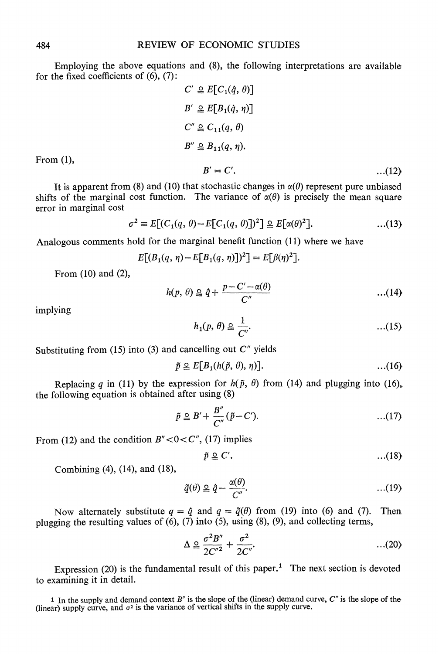Employing the above equations and (8), the following interpretations are available for the fixed coefficients of  $(6)$ ,  $(7)$ :

$$
C' \trianglelefteq E[C_1(\hat{q}, \theta)]
$$
  
\n
$$
B' \trianglelefteq E[B_1(\hat{q}, \eta)]
$$
  
\n
$$
C'' \trianglelefteq C_{11}(q, \theta)
$$
  
\n
$$
B'' \trianglelefteq B_{11}(q, \eta).
$$
  
\n
$$
B' = C'.
$$
  
\n(12)

 $...(12)$ 

From (I),

It is apparent from (8) and (10) that stochastic changes in  $\alpha(\theta)$  represent pure unbiased shifts of the marginal cost function. The variance of  $\alpha(\theta)$  is precisely the mean square error in marginal cost

$$
\sigma^2 \equiv E[(C_1(q, \theta) - E[C_1(q, \theta)])^2] \stackrel{\circ}{=} E[\alpha(\theta)^2]. \tag{13}
$$

Analogous comments hold for the marginal benefit function (11) where we have

$$
E[(B_1(q, \eta) - E[B_1(q, \eta)])^2] = E[\beta(\eta)^2].
$$

From (10) and (2),

$$
h(p, \theta) \triangleq \hat{q} + \frac{p - C' - \alpha(\theta)}{C''}
$$
...(14)

implying

$$
h_1(p,\,\theta)\,\subseteq\,\frac{1}{C''}.\tag{15}
$$

Substituting from (15) into **(3)** and cancelling out *C"* yields

$$
\tilde{p} \stackrel{\circ}{=} E[B_1(h(\tilde{p}, \theta), \eta)]. \tag{16}
$$

Replacing q in (11) by the expression for  $h(\tilde{p}, \theta)$  from (14) and plugging into (16), the following equation is obtained after using (8)

$$
\tilde{p} \stackrel{\circ}{=} B' + \frac{B''}{C''} (\tilde{p} - C'). \qquad \qquad \dots (17)
$$

From (12) and the condition  $B'' < 0 < C''$ , (17) implies

$$
\tilde{p} \subseteq C'. \tag{18}
$$

Combining (4), (14), and (18),

$$
\tilde{q}(\theta) \triangleq \hat{q} - \frac{\alpha(\theta)}{C''}.
$$
 (19)

Now alternately substitute  $q = \hat{q}$  and  $q = \tilde{q}(\theta)$  from (19) into (6) and (7). Then plugging the resulting values of  $(6)$ ,  $(7)$  into  $(5)$ , using  $(8)$ ,  $(9)$ , and collecting terms,

Expression (20) is the fundamental result of this paper.<sup>1</sup> The next section is devoted to examining it in detail.

**<sup>1</sup>**In the supply and demand context *B"* is the slope of the (linear) demand curve, C" is the slope of the (linear) supply curve, and **a2** is the variance of vertical shifts in the supply curve.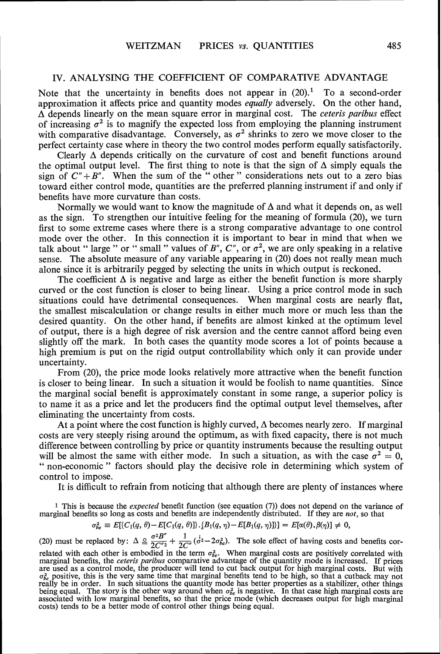#### IV. ANALYSING THE COEFFICIENT OF COMPARATIVE ADVANTAGE

Note that the uncertainty in benefits does not appear in  $(20)^1$ . To a second-order approximation it affects price and quantity modes *equally* adversely. On the other hand, **A** depends linearly on the mean square error in marginal cost. The *ceteris paribus* effect of increasing  $\sigma^2$  is to magnify the expected loss from employing the planning instrument with comparative disadvantage. Conversely, as  $\sigma^2$  shrinks to zero we move closer to the perfect certainty case where in theory the two control modes perform equally satisfactorily.

Clearly  $\Delta$  depends critically on the curvature of cost and benefit functions around the optimal output level. The first thing to note is that the sign of  $\Delta$  simply equals the sign of  $C'' + B''$ . When the sum of the " other " considerations nets out to a zero bias toward either control mode, quantities are the preferred planning instrument if and only if benefits have more curvature than costs.

Normally we would want to know the magnitude of  $\Delta$  and what it depends on, as well as the sign. To strengthen our intuitive feeling for the meaning of formula (20), we turn first to some extreme cases where there is a strong comparative advantage to one control mode over the other. In this connection it is important to bear in mind that when we talk about " large " or " small " values of B",  $C$ ", or  $\sigma^2$ , we are only speaking in a relative sense. The absolute measure of any variable appearing in (20) does not really mean much alone since it is arbitrarily pegged by selecting the units in which output is reckoned.

The coefficient  $\Delta$  is negative and large as either the benefit function is more sharply curved or the cost function is closer to being linear. Using a price control mode in such situations could have detrimental consequences. When marginal costs are nearly flat, the smallest miscalculation or change results in either much more or much less than the desired quantity. On the other hand, if benefits are almost kinked at the optimum level of output, there is a high degree of risk aversion and the centre cannot afford being even slightly off the mark. In both cases the quantity mode scores a lot of points because a high premium is put on the rigid output controllability which only it can provide under uncertainty.

From (20), the price mode looks relatively more attractive when the benefit function is closer to being linear. In such a situation it would be foolish to name quantities. Since the marginal social benefit is approximately constant in some range, a superior policy is to name it as a price and let the producers find the optimal output level themselves, after eliminating the uncertainty from costs.

At a point where the cost function is highly curved,  $\Delta$  becomes nearly zero. If marginal costs are very steeply rising around the optimum, as with fixed capacity, there is not much difference between controlling by price or quantity instruments because the resulting output will be almost the same with either mode. In such a situation, as with the case  $\sigma^2 = 0$ , " non-economic " factors should play the decisive role in determining which system of control to impose.

It is dificult to refrain from noticing that although there are plenty of instances where

1 This is because the **expected** benefit function (see equation (7)) does not depend on the variance of marginal benefits so long as costs and benefits are independently distributed. If they are **not,** so that

$$
\sigma_{bc}^2 \equiv E[\{C_1(q, \theta) - E[C_1(q, \theta)]\} \cdot \{B_1(q, \eta) - E[B_1(q, \eta)]\}] = E[\alpha(\theta), \beta(\eta)] \neq 0,
$$

 $\sigma^2 B''$  1 marginal benefits so long as costs and benefits are independently distributed. If they are *not*, so that<br>  $\sigma_{bc}^2 = E\{[(c_1(q, \theta) - E[C_1(q, \theta)]; \{B_1(q, \eta) - E[B_1(q, \eta)]\}] = E[\alpha(\theta), \beta(\eta)] \neq 0,$ <br>
(20) must be replaced by:  $\Delta \stackrel{\triangle}{=} \frac{\sigma$ 

marginal benefits, the *ceteris paribus* comparative advantage of the quantity mode is increased. If prices are used as a control mode, the producer will tend to cut back output for high marginal costs. But with  $\sigma_{bc}^2$ really be in order. In such situations the quantity mode has better properties as a stabilizer, other things being equal. The story is the other way around when  $\sigma_{bc}^2$  is negative. In that case high marginal costs are associated with low marginal benefits, so that the price mode (which decreases output for high marginal costs) tends to be a better mode of control other things being equal.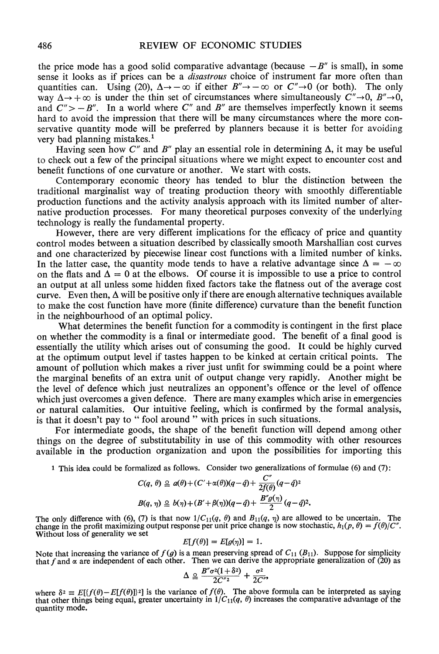the price mode has a good solid comparative advantage (because  $-B''$  is small), in some sense it looks as if prices can be a *disastrous* choice of instrument far more often than quantities can. Using (20),  $\Delta \rightarrow -\infty$  if either  $B'' \rightarrow -\infty$  or  $C'' \rightarrow 0$  (or both). The only way  $\Delta \rightarrow +\infty$  is under the thin set of circumstances where simultaneously  $C'' \rightarrow 0$ ,  $B'' \rightarrow 0$ , and  $C'' > -B''$ . In a world where C'' and B'' are themselves imperfectly known it seems hard to avoid the impression that there will be many circumstances where the more conservative quantity mode will be preferred by planners because it is better for avoiding very bad planning mistakes.'

Having seen how  $C''$  and  $B''$  play an essential role in determining  $\Delta$ , it may be useful to check out a few of the principal situations where we might expect to encounter cost and benefit functions of one curvature or another. We start with costs.

Contemporary economic theory has tended to blur the distinction between the traditional marginalist way of treating production theory with smoothly differentiable production functions and the activity analysis approach with its limited number of alternative production processes. For many theoretical purposes convexity of the underlying technology is really the fundamental property.

However, there are very different implications for the efficacy of price and quantity control modes between a situation described by classically smooth Marshallian cost curves and one characterized by piecewise linear cost functions with a limited number of kinks. In the latter case, the quantity mode tends to have a relative advantage since  $\Delta = -\infty$ on the flats and  $\Delta = 0$  at the elbows. Of course it is impossible to use a price to control an output at all unless some hidden fixed factors take the flatness out of the average cost curve. Even then,  $\Delta$  will be positive only if there are enough alternative techniques available to make the cost function have more (finite difference) curvature than the benefit function in the neighbourhood of an optimal policy.

What determines the benefit function for a commodity is contingent in the first place on whether the commodity is a final or intermediate good. The benefit of a final good is essentially the utility which arises out of consuming the good. It could be highly curved at the optimum output level if tastes happen to be kinked at certain critical points. The amount of pollution which makes a river just unfit for swimming could be a point where the marginal benefits of an extra unit of output change very rapidly. Another might be the level of defence which just neutralizes an opponent's offence or the level of offence which just overcomes a given defence. There are many examples which arise in emergencies or natural calamities. Our intuitive feeling, which is confirmed by the formal analysis, is that it doesn't pay to " fool around " with prices in such situations.

For intermediate goods, the shape of the benefit function will depend among other things on the degree of substitutability in use of this commodity with other resources available in the production organization and upon the possibilities for importing this

**1** This idea could be formalized as follows. Consider two generalizations of formulae *(6)* and *(7):* 

$$
C(q, \theta) \triangleq a(\theta) + (C' + \alpha(\theta))(q - \hat{q}) + \frac{C''}{2f(\theta)}(q - \hat{q})^2
$$
  

$$
B(q, \eta) \triangleq b(\eta) + (B' + \beta(\eta))(q - \hat{q}) + \frac{B''g(\eta)}{2}(q - \hat{q})^2.
$$

The only difference with (6), (7) is that now  $1/C_{11}(q, \theta)$  and  $B_{11}(q, \eta)$  are allowed to be uncertain. The change in the profit maximizing output response per unit price change is now stochastic,  $h_1(p, \theta) = f(\theta)/C$ ". Without loss of generality we set

$$
E[f(\theta)] = E[g(\eta)] = 1.
$$

Note that increasing the variance of  $f(g)$  is a mean preserving spread of  $C_{11} (B_{11})$ . Suppose for simplicity that  $f$  and  $\alpha$  are independent of each other. Then we can derive the appropriate generalization of (20) as

$$
\Delta \triangleq \frac{B''\sigma^2(1+\delta^2)}{2C''^2} + \frac{\sigma^2}{2C''},
$$

where  $\delta^2 = E[(f(\theta)-E[f(\theta)])^2]$  is the variance of  $f(\theta)$ . The above formula can be interpreted as saying that other things being equal, greater uncertainty in  $1/C_{11}(q, \theta)$  increases the comparative advantage of the quantity mode.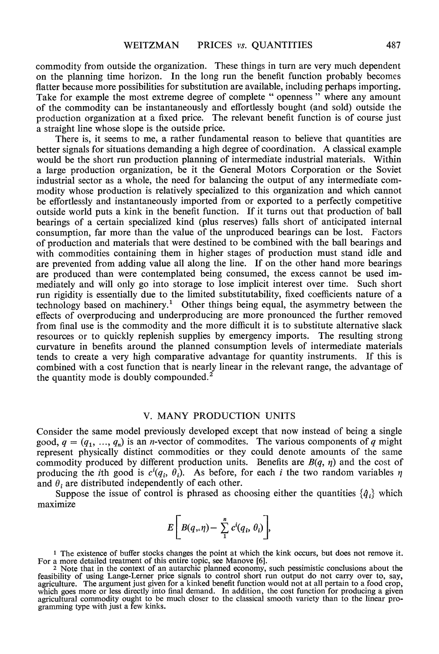commodity from outside the organization. These things in turn are very much dependent on the planning time horizon. In the long run the benefit function probably becomes flatter because more possibilities for substitution are available, including perhaps importing. Take for example the most extreme degree of complete " openness " where any amount of the commodity can be instantaneously and effortlessly bought (and sold) outside the production organization at a fixed price. The relevant benefit function is of course just a straight line whose slope is the outside price.

There is, it seems to me, a rather fundamental reason to believe that quantities are better signals for situations demanding a high degree of coordination. A classical example would be the short run production planning of intermediate industrial materials. Within a large production organization, be it the General Motors Corporation or the Soviet industrial sector as a whole, the need for balancing the output of any intermediate commodity whose production is relatively specialized to this organization and which cannot be effortlessly and instantaneously imported from or exported to a perfectly competitive outside world puts a kink in the benefit function. If it turns out that production of ball bearings of a certain specialized kind (plus reserves) falls short of anticipated internal consumption, far more than the value of the unproduced bearings can be lost. Factors of production and materials that were destined to be combined with the ball bearings and with commodities containing them in higher stages of production must stand idle and are prevented from adding value all along the line. If on the other hand more bearings are produced than were contemplated being consumed, the excess cannot be used immediately and will only go into storage to lose implicit interest over time. Such short run rigidity is essentially due to the limited substitutability, fixed coefficients nature of a technology based on machinery.' Other things being equal, the asymmetry between the effects of overproducing and underproducing are more pronounced the further removed from final use is the commodity and the more difficult it is to substitute alternative slack resources or to quickly replenish supplies by emergency imports. The resulting strong curvature in benefits around the planned consumption levels of intermediate materials tends to create a very high comparative advantage for quantity instruments. If this is combined with a cost function that is nearly linear in the relevant range, the advantage of the quantity mode is doubly compounded. $<sup>2</sup>$ </sup>

#### V. MANY PRODUCTION UNITS

Consider the same model previously developed except that now instead of being a single good,  $q = (q_1, ..., q_n)$  is an *n*-vector of commodites. The various components of q might represent physically distinct commodities or they could denote amounts of the same commodity produced by different production units. Benefits are  $B(q, \eta)$  and the cost of producing the *i*th good is  $c^{i}(q_i, \theta_i)$ . As before, for each *i* the two random variables  $\eta$ and  $\theta_i$  are distributed independently of each other.

Suppose the issue of control is phrased as choosing either the quantities  $\{\hat{q}_i\}$  which maximize

$$
E\bigg[B(q,\eta)-\sum_1^n c^i(q_i,\theta_i)\bigg],
$$

**<sup>1</sup>**The existence of buffer stocks changes the point at which the kink occurs, but does not remove it. For a more detailed treatment of this entire topic, see Manove [6].

*<sup>2</sup>* Note that in the context of an autarchic planned economy, such pessimistic conclusions about the feasibility of using Lange-Lerner price signals to control short run output do not carry over to, say, agriculture. The argument just given for a kinked benefit function would not at all pertain to a food crop, which goes more or less directly into final demand. In addition, the cost function for producing a given which goes more or less directly into final demand. In addition, the cost function for producing a given agricultural commodity ought to be much closer to the classical smooth variety than to the linear programming type with just a few kinks.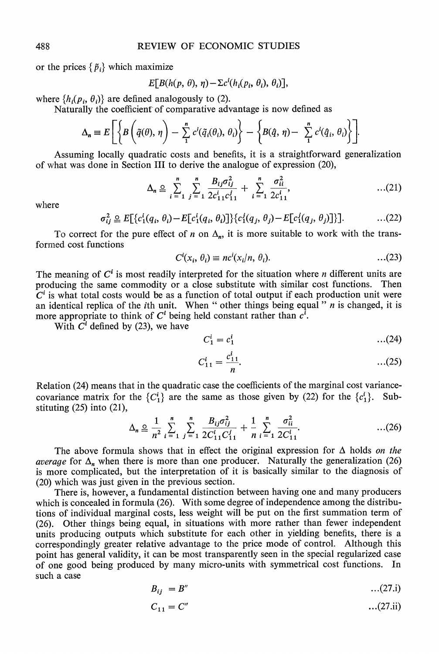or the prices  $\{\tilde{p}_i\}$  which maximize

$$
E[B(h(p, \theta), \eta) - \Sigma c^i(h_i(p_i, \theta_i), \theta_i)],
$$

where  $\{h_i(p_i, \theta_i)\}\$ are defined analogously to (2).

Naturally the coefficient' of comparative advantage is now defined as

$$
\Delta_n \equiv E\left[\left\{B\left(\tilde{q}(\theta), \eta\right) - \sum_{i=1}^n c^i(\tilde{q}_i(\theta_i), \theta_i)\right\} - \left\{B(\hat{q}, \eta) - \sum_{i=1}^n c^i(\hat{q}_i, \theta_i)\right\}\right].
$$

Assuming locally quadratic costs and benefits, it is a straightforward generalization of what was done in Section III to derive the analogue of expression  $(20)$ ,

$$
\Delta_n \triangleq \sum_{i=1}^n \sum_{j=1}^n \frac{B_{ij} \sigma_{ij}^2}{2c_{11}^i c_{11}^j} + \sum_{i=1}^n \frac{\sigma_{ii}^2}{2c_{11}^i}, \qquad \qquad \dots (21)
$$

where

 $\sigma_{ij}^2 \subseteq E[\{c_1^i(q_i, \theta_i) - E[c_1^i(q_i, \theta_i)]\}\{c_1^i(q_i, \theta_i) - E[c_1^i(q_i, \theta_i)]\}]$ . ...(22)

To correct for the pure effect of n on  $\Delta_n$ , it is more suitable to work with the transformed cost functions

$$
C^i(x_i, \theta_i) \equiv nc^i(x_i/n, \theta_i). \qquad \qquad \dots (23)
$$

The meaning of  $C<sup>i</sup>$  is most readily interpreted for the situation where *n* different units are producing the same commodity or a close substitute with similar cost functions. Then producing the same commodity or a close substitute with similar cost functions. Then  $C<sup>i</sup>$  is what total costs would be as a function of total output if each production unit were an identical replica of the *i*th unit. When " other things being equal "  $n$  is changed, it is more appropriate to think of  $C<sup>i</sup>$  being held constant rather than  $c<sup>i</sup>$ .

With  $C^i$  defined by (23), we have

$$
C_1^i = c_1^i \t\t (24)
$$

Relation (24) means that in the quadratic case the coefficients of the marginal cost variancecovariance matrix for the  ${C_1^i}$  are the same as those given by (22) for the  ${c_1^i}$ . Substituting (25) into (21),

$$
\Delta_n \subseteq \frac{1}{n^2} \sum_{i=1}^n \sum_{j=1}^n \frac{B_{ij} \sigma_{ij}^2}{2C_{11}^i C_{11}^j} + \frac{1}{n} \sum_{i=1}^n \frac{\sigma_{ii}^2}{2C_{11}^i}.
$$
 ... (26)

The above formula shows that in effect the original expression for  $\Delta$  holds on the average for  $\Delta_n$  when there is more than one producer. Naturally the generalization (26) is more complicated, but the interpretation of it is basically similar to the diagnosis of (20) which was just given in the previous section.

There is, however, a fundamental distinction between having one and many producers which is concealed in formula (26). With some degree of independence among the distributions of individual marginal costs, less weight will be put on the first summation term of (26). Other things being equal, in situations with more rather than fewer independent units producing outputs which substitute for each other in yielding benefits, there is a correspondingly greater relative advantage to the price mode of control. Although this point has general validity, it can be most transparently seen in the special regularized case of one good being produced by many micro-units with symmetrical cost functions. In such a case

$$
B_{ij} = B'' \qquad \qquad \dots (27.1)
$$

$$
C_{11} = C'' \tag{27.1}
$$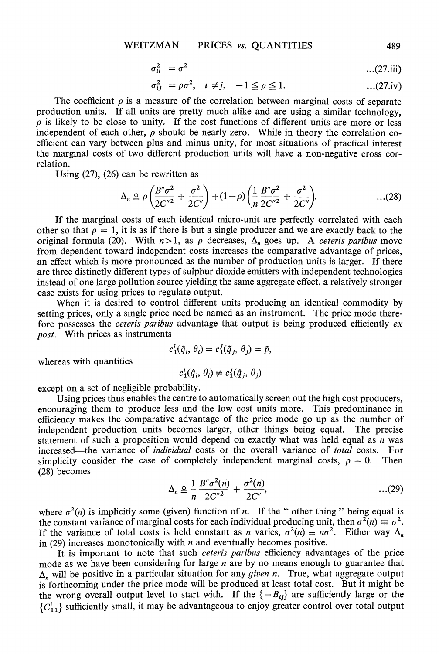$$
\sigma_{ii}^2 = \sigma^2 \tag{27.1ii}
$$

$$
\sigma_{ij}^2 = \rho \sigma^2, \quad i \neq j, \quad -1 \leq \rho \leq 1. \tag{27.iv}
$$

The coefficient  $\rho$  is a measure of the correlation between marginal costs of separate production units. If all units are pretty much alike and are using a similar technology,  $\rho$  is likely to be close to unity. If the cost functions of different units are more or less independent of each other,  $\rho$  should be nearly zero. While in theory the correlation coeficient can vary between plus and minus unity, for most situations of practical interest the marginal costs of two different production units will have a non-negative cross correlation.

Using (27), (26) can be rewritten as

$$
\Delta_n \triangleq \rho \left( \frac{B'' \sigma^2}{2C''^2} + \frac{\sigma^2}{2C''} \right) + (1 - \rho) \left( \frac{1}{n} \frac{B'' \sigma^2}{2C''^2} + \frac{\sigma^2}{2C''} \right). \tag{28}
$$

If the marginal costs of each identical micro-unit are perfectly correlated with each other so that  $\rho = 1$ , it is as if there is but a single producer and we are exactly back to the original formula (20). With  $n > 1$ , as  $\rho$  decreases,  $\Delta_n$  goes up. A *ceteris paribus* move from dependent toward independent costs increases the comparative advantage of prices, an effect which is more pronounced as the number of production units is larger. If there are three distinctly different types of sulphur dioxide emitters with independent technologies instead of one large pollution source yielding the same aggregate effect, a relatively stronger case exists for using prices to regulate output.

When it is desired to control different units producing an identical commodity by setting prices, only a single price need be named as an instrument. The price mode therefore possesses the *ceteris paribus* advantage that output is being produced efficiently  $ex$ post. With prices as instruments

$$
c_1^i(\tilde{q}_i, \theta_i) = c_1^j(\tilde{q}_j, \theta_j) = \tilde{p},
$$

whereas with quantities

$$
c_1^i(\hat{q}_i,\,\theta_i)\neq c_1^j(\hat{q}_j,\,\theta_j)
$$

except on a set of negligible probability.

Using prices thus enables the centre to automatically screen out the high cost producers, encouraging them to produce less and the low cost units more. This predominance in efficiency makes the comparative advantage of the price mode go up as the number of independent production units becomes larger, other things being equal. The precise statement of such a proposition would depend on exactly what was held equal as  $n$  was increased-the variance of individual costs or the overall variance of *total* costs. For simplicity consider the case of completely independent marginal costs,  $\rho = 0$ . Then (28) becomes

$$
\Delta_n \stackrel{\sim}{=} \frac{1}{n} \frac{B'' \sigma^2(n)}{2C^{n^2}} + \frac{\sigma^2(n)}{2C^n}, \qquad ...(29)
$$

where  $\sigma^2(n)$  is implicitly some (given) function of n. If the " other thing " being equal is the constant variance of marginal costs for each individual producing unit, then  $\sigma^2(n) \equiv \sigma^2$ . If the variance of total costs is held constant as *n* varies,  $\sigma^2(n) \equiv n\sigma^2$ . Either way  $\Delta_n$ in (29) increases monotonically with  $n$  and eventually becomes positive.

It is important to note that such ceteris paribus efficiency advantages of the price mode as we have been considering for large  $n$  are by no means enough to guarantee that  $\Delta_n$  will be positive in a particular situation for any *given n*. True, what aggregate output is forthcoming under the price mode will be produced at least total cost. But it might be the wrong overall output level to start with. If the  $\{-B_{ij}\}$  are sufficiently large or the  ${C_{11}^i}$  sufficiently small, it may be advantageous to enjoy greater control over total output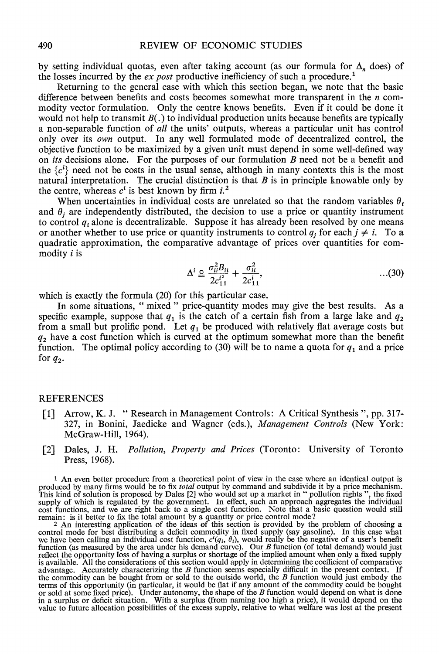by setting individual quotas, even after taking account (as our formula for  $\Delta_n$  does) of the losses incurred by the *ex post* productive inefficiency of such a procedure.'

Returning to the general case with which this section began, we note that the basic difference between benefits and costs becomes somewhat more transparent in the *n* commodity vector formulation. Only the centre knows benefits. Even if it could be done it would not help to transmit *B(.)*to individual production units because benefits are typically a non-separable function of *all* the units' outputs, whereas a particular unit has control only over its *own* output. In any well formulated mode of decentralized control, the objective function to be maximized by a given unit must depend in some well-defined way on *its* decisions alone. For the purposes of our formulation B need not be a benefit and the  $\{c^i\}$  need not be costs in the usual sense, although in many contexts this is the most natural interpretation. The crucial distinction is that  $B$  is in principle knowable only by the centre, whereas  $c^i$  is best known by firm  $i^2$ .

When uncertainties in individual costs are unrelated so that the random variables  $\theta_i$ and  $\theta_i$  are independently distributed, the decision to use a price or quantity instrument to control  $q_i$  alone is decentralizable. Suppose it has already been resolved by one means or another whether to use price or quantity instruments to control  $q_i$  for each  $j \neq i$ . To a quadratic approximation, the comparative advantage of prices over quantities for commodity i is

$$
\Delta^{i} \n\t\cong \frac{\sigma_{ii}^{2} B_{ii}}{2c_{11}^{i^{2}}} + \frac{\sigma_{ii}^{2}}{2c_{11}^{i^{2}}}, \qquad ...(30)
$$

which is exactly the formula (20) for this particular case.

In some situations, " mixed " price-quantity modes may give the best results. As a specific example, suppose that  $q_1$  is the catch of a certain fish from a large lake and  $q_2$ from a small but prolific pond. Let  $q_1$  be produced with relatively flat average costs but  $q_2$  have a cost function which is curved at the optimum somewhat more than the benefit function. The optimal policy according to (30) will be to name a quota for  $q_1$  and a price for  $q_2$ .

#### REFERENCES

- [1] Arrow, K. J. " Research in Management Controls: A Critical Synthesis ", pp. 317-327, in Bonini, Jaedicke and Wagner (eds.), *Management Controls* (New York: McGraw-Hill, 1964).
- [2] Dales, J. H. *Pollution, Property and Prices* (Toronto: University of Toronto Press, 1968).

**<sup>1</sup>**An even better procedure from a theoretical point of view in the case where ail identical output is produced by many firms would be to fix *total* output by command and subdivide it by a price mechanism. produced by many firms would be to its *total* output by command and subdivide it by a price mechanism.<br>This kind of solution is proposed by Dales [2] who would set up a market in "pollution rights", the fixed<br>supply of wh

remain: is it better to fix the total amount by a quantity or price control mode?<br><sup>2</sup> An interesting application of the ideas of this section is provided by the problem of choosing a<br>control mode for best distributing a d is available. All the considerations of this section would apply in determining the coefficient of comparative advantage. Accurately characterizing the B function seems especially difficult in the present context. If the commodity can be bought from or sold to the outside world, the B function would just embody the terms of this opportunity (in particular, it would be flat if any amount of the commodity could be bought or sold at some fixed price). Under autonomy, the shape of the  $B$  function would depend on what is done in a surplus or deficit situation. With a surplus (from naming too high a price), it would depend on the value to future allocation possibilities of the excess supply, relative to what welfare was lost at the present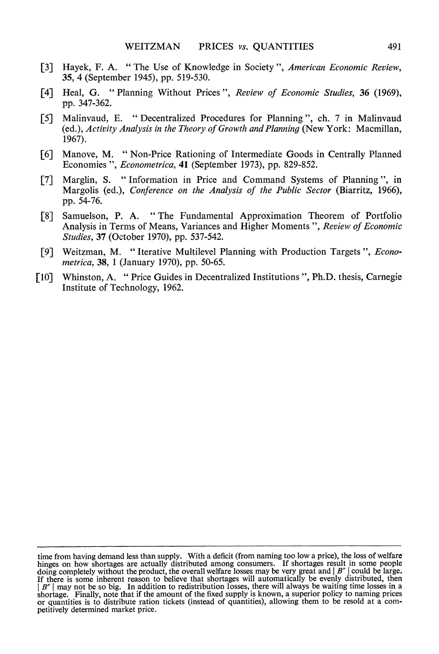- [3] Havek, F. A. " The Use of Knowledge in Society ", *American Economic Review*, **35,** 4 (September 1945), pp. 519-530.
- [4] Heal, G. "Planning Without Prices ", *Review of Economic Studies,* **36** (1969), pp. 347-362.
- [5] Malinvaud, E. "Decentralized Procedures for Planning", ch. 7 in Malinvaud (ed.), *Activity Analysis in the Theory of Growth undPlanning* (New York: Macmillan, 1967).
- [6] Manove, M. "Non-Price Rationing of Intermediate Goods in Centrally Planned Economies ", *Econometrica*, **41** (September 1973), pp. 829-852.
- [7] Marglin, S. "Information in Price and Command Systems of Planning", in Margolis (ed.), *Conference on the Analysis of the Public Sector* (Biarritz, 1966), **pp.** 54-76.
- [8] Samuelson, P. A. "The Fundamental Approximation Theorem of Portfolio Analysis in Terms of Means, Variances and Higher Moments ", *Review of Economic Studies,* **37** (October 1970), pp. 537-542.
- [9] Weitzman, M. "Iterative Multilevel Planning with Production Targets", *Econometric~,***38,** 1 (January 1970), pp. 50-65.
- [lo] Whinston, A. " Price Guides in Decentralized Institutions ",Ph.D. thesis, Carnegie Institute of Technology, 1962.

time from having demand less than supply. With a deficit (from naming too low a price), the loss of welfare hinges on how shortages are actually distributed among consumers. If shortages result in some people doing completely without the product, the overall welfare losses may be very great and  $|B''|$  could be large. If there i  $|B''|$  may not be so big. In addition to redistribution losses, there will always be waiting time losses in a shortage. Finally, note that if the amount of the fixed supply is known, a superior policy to naming prices or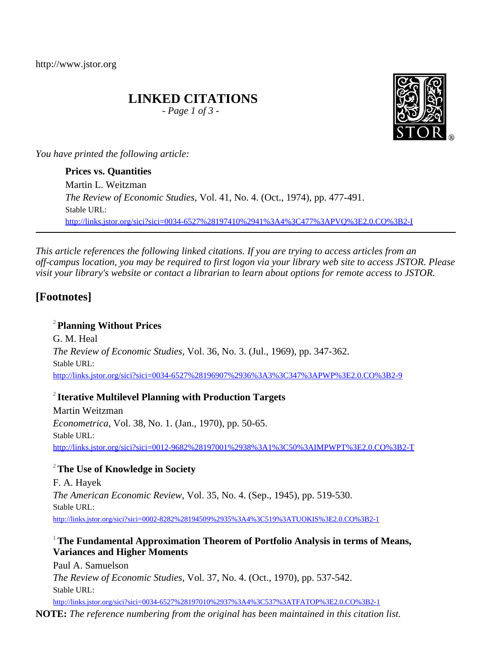http://www.jstor.org

## **LINKED CITATIONS**

*- Page 1 of 3 -*



*You have printed the following article:*

**Prices vs. Quantities** Martin L. Weitzman *The Review of Economic Studies*, Vol. 41, No. 4. (Oct., 1974), pp. 477-491. Stable URL: [http://links.jstor.org/sici?sici=0034-6527%28197410%2941%3A4%3C477%3APVQ%3E2.0.CO%3B2-I](http://links.jstor.org/sici?sici=0034-6527%28197410%2941%3A4%3C477%3APVQ%3E2.0.CO%3B2-I&origin=JSTOR-pdf)

*This article references the following linked citations. If you are trying to access articles from an off-campus location, you may be required to first logon via your library web site to access JSTOR. Please visit your library's website or contact a librarian to learn about options for remote access to JSTOR.*

## **[Footnotes]**

### **<sup>2</sup>Planning Without Prices**

G. M. Heal *The Review of Economic Studies*, Vol. 36, No. 3. (Jul., 1969), pp. 347-362. Stable URL: [http://links.jstor.org/sici?sici=0034-6527%28196907%2936%3A3%3C347%3APWP%3E2.0.CO%3B2-9](http://links.jstor.org/sici?sici=0034-6527%28196907%2936%3A3%3C347%3APWP%3E2.0.CO%3B2-9&origin=JSTOR-pdf)

#### **2 Iterative Multilevel Planning with Production Targets**

Martin Weitzman *Econometrica*, Vol. 38, No. 1. (Jan., 1970), pp. 50-65. Stable URL: [http://links.jstor.org/sici?sici=0012-9682%28197001%2938%3A1%3C50%3AIMPWPT%3E2.0.CO%3B2-T](http://links.jstor.org/sici?sici=0012-9682%28197001%2938%3A1%3C50%3AIMPWPT%3E2.0.CO%3B2-T&origin=JSTOR-pdf)

### **<sup>2</sup>The Use of Knowledge in Society**

F. A. Hayek *The American Economic Review*, Vol. 35, No. 4. (Sep., 1945), pp. 519-530. Stable URL: [http://links.jstor.org/sici?sici=0002-8282%28194509%2935%3A4%3C519%3ATUOKIS%3E2.0.CO%3B2-1](http://links.jstor.org/sici?sici=0002-8282%28194509%2935%3A4%3C519%3ATUOKIS%3E2.0.CO%3B2-1&origin=JSTOR-pdf)

#### **<sup>1</sup>The Fundamental Approximation Theorem of Portfolio Analysis in terms of Means, Variances and Higher Moments**

Paul A. Samuelson *The Review of Economic Studies*, Vol. 37, No. 4. (Oct., 1970), pp. 537-542. Stable URL:

[http://links.jstor.org/sici?sici=0034-6527%28197010%2937%3A4%3C537%3ATFATOP%3E2.0.CO%3B2-1](http://links.jstor.org/sici?sici=0034-6527%28197010%2937%3A4%3C537%3ATFATOP%3E2.0.CO%3B2-1&origin=JSTOR-pdf)

**NOTE:** *The reference numbering from the original has been maintained in this citation list.*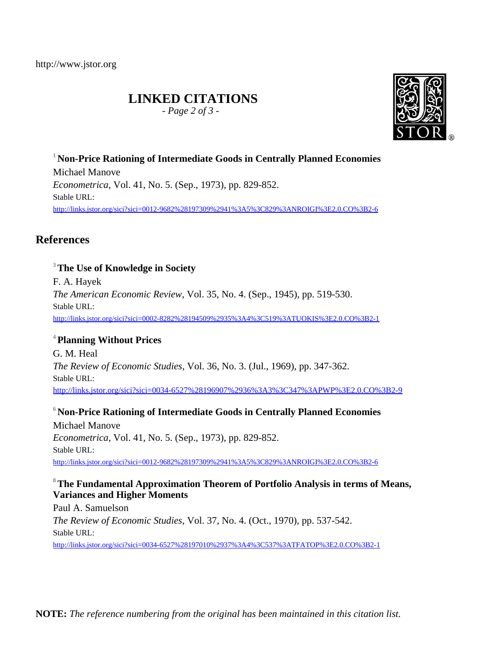## **LINKED CITATIONS**

*- Page 2 of 3 -*



**<sup>1</sup> Non-Price Rationing of Intermediate Goods in Centrally Planned Economies** Michael Manove *Econometrica*, Vol. 41, No. 5. (Sep., 1973), pp. 829-852. Stable URL: [http://links.jstor.org/sici?sici=0012-9682%28197309%2941%3A5%3C829%3ANROIGI%3E2.0.CO%3B2-6](http://links.jstor.org/sici?sici=0012-9682%28197309%2941%3A5%3C829%3ANROIGI%3E2.0.CO%3B2-6&origin=JSTOR-pdf)

## **References**

## **<sup>3</sup>The Use of Knowledge in Society**

F. A. Hayek *The American Economic Review*, Vol. 35, No. 4. (Sep., 1945), pp. 519-530. Stable URL: [http://links.jstor.org/sici?sici=0002-8282%28194509%2935%3A4%3C519%3ATUOKIS%3E2.0.CO%3B2-1](http://links.jstor.org/sici?sici=0002-8282%28194509%2935%3A4%3C519%3ATUOKIS%3E2.0.CO%3B2-1&origin=JSTOR-pdf)

## **<sup>4</sup>Planning Without Prices**

G. M. Heal *The Review of Economic Studies*, Vol. 36, No. 3. (Jul., 1969), pp. 347-362. Stable URL: [http://links.jstor.org/sici?sici=0034-6527%28196907%2936%3A3%3C347%3APWP%3E2.0.CO%3B2-9](http://links.jstor.org/sici?sici=0034-6527%28196907%2936%3A3%3C347%3APWP%3E2.0.CO%3B2-9&origin=JSTOR-pdf)

**<sup>6</sup> Non-Price Rationing of Intermediate Goods in Centrally Planned Economies** Michael Manove *Econometrica*, Vol. 41, No. 5. (Sep., 1973), pp. 829-852. Stable URL: [http://links.jstor.org/sici?sici=0012-9682%28197309%2941%3A5%3C829%3ANROIGI%3E2.0.CO%3B2-6](http://links.jstor.org/sici?sici=0012-9682%28197309%2941%3A5%3C829%3ANROIGI%3E2.0.CO%3B2-6&origin=JSTOR-pdf)

#### **<sup>8</sup>The Fundamental Approximation Theorem of Portfolio Analysis in terms of Means, Variances and Higher Moments**

Paul A. Samuelson *The Review of Economic Studies*, Vol. 37, No. 4. (Oct., 1970), pp. 537-542. Stable URL: [http://links.jstor.org/sici?sici=0034-6527%28197010%2937%3A4%3C537%3ATFATOP%3E2.0.CO%3B2-1](http://links.jstor.org/sici?sici=0034-6527%28197010%2937%3A4%3C537%3ATFATOP%3E2.0.CO%3B2-1&origin=JSTOR-pdf)